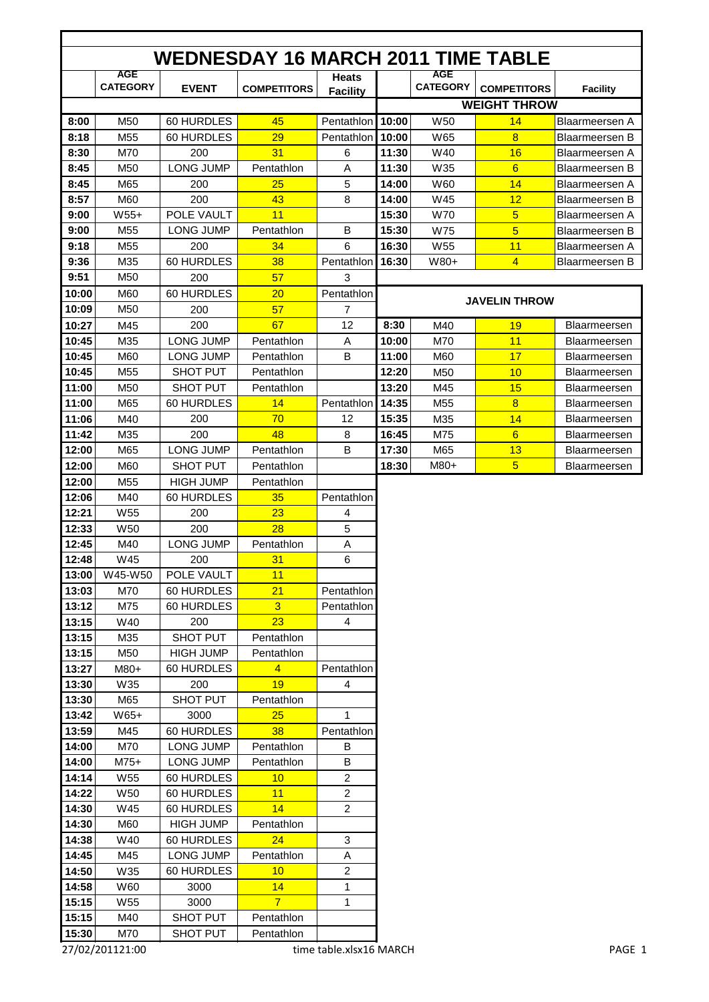|       |                               |                  | <b>WEDNESDAY 16 MARCH 2011 TIME TABLE</b> |                                 |       |                               |                      |                       |
|-------|-------------------------------|------------------|-------------------------------------------|---------------------------------|-------|-------------------------------|----------------------|-----------------------|
|       | <b>AGE</b><br><b>CATEGORY</b> | <b>EVENT</b>     | <b>COMPETITORS</b>                        | <b>Heats</b><br><b>Facility</b> |       | <b>AGE</b><br><b>CATEGORY</b> | <b>COMPETITORS</b>   | <b>Facility</b>       |
|       |                               |                  |                                           |                                 |       |                               | <b>WEIGHT THROW</b>  |                       |
| 8:00  | M <sub>50</sub>               | 60 HURDLES       | 45                                        | Pentathion 10:00                |       | W <sub>50</sub>               | 14                   | Blaarmeersen A        |
| 8:18  | M <sub>55</sub>               | 60 HURDLES       | 29                                        | Pentathion 10:00                |       | W65                           | 8                    | <b>Blaarmeersen B</b> |
| 8:30  | M70                           | 200              | 31                                        | 6                               | 11:30 | W40                           | 16                   | Blaarmeersen A        |
| 8:45  | M <sub>50</sub>               | <b>LONG JUMP</b> | Pentathlon                                | A                               | 11:30 | W35                           | $6\overline{6}$      | Blaarmeersen B        |
| 8:45  | M65                           | 200              | 25                                        | 5                               | 14:00 | W60                           | 14                   | Blaarmeersen A        |
| 8:57  | M60                           | 200              | 43                                        | 8                               | 14:00 | W45                           | 12                   | <b>Blaarmeersen B</b> |
| 9:00  | $W55+$                        | POLE VAULT       | 11                                        |                                 | 15:30 | <b>W70</b>                    | 5                    | <b>Blaarmeersen A</b> |
| 9:00  | M <sub>55</sub>               | <b>LONG JUMP</b> | Pentathlon                                | B                               | 15:30 | <b>W75</b>                    | 5                    | <b>Blaarmeersen B</b> |
| 9:18  | M <sub>55</sub>               | 200              | 34                                        | 6                               | 16:30 | W <sub>55</sub>               | 11                   | <b>Blaarmeersen A</b> |
| 9:36  | M35                           | 60 HURDLES       | 38                                        | Pentathlon                      | 16:30 | W80+                          | $\overline{4}$       | <b>Blaarmeersen B</b> |
| 9:51  | M <sub>50</sub>               | 200              | 57                                        | 3                               |       |                               |                      |                       |
| 10:00 | M60                           | 60 HURDLES       | 20                                        | Pentathlon                      |       |                               |                      |                       |
| 10:09 | M50                           | 200              | 57                                        | $\overline{7}$                  |       |                               | <b>JAVELIN THROW</b> |                       |
| 10:27 | M45                           | 200              | 67                                        | 12                              | 8:30  | M40                           | 19                   | Blaarmeersen          |
| 10:45 | M35                           | <b>LONG JUMP</b> | Pentathlon                                | Α                               | 10:00 | M70                           | 11                   | <b>Blaarmeersen</b>   |
| 10:45 | M60                           | <b>LONG JUMP</b> | Pentathlon                                | B                               | 11:00 | M60                           | 17                   | <b>Blaarmeersen</b>   |
| 10:45 | M <sub>55</sub>               | <b>SHOT PUT</b>  | Pentathlon                                |                                 | 12:20 | M <sub>50</sub>               | 10                   | <b>Blaarmeersen</b>   |
| 11:00 | M <sub>50</sub>               | <b>SHOT PUT</b>  | Pentathlon                                |                                 | 13:20 | M45                           | 15                   | Blaarmeersen          |
| 11:00 | M65                           | 60 HURDLES       | 14                                        | Pentathlon                      | 14:35 | M <sub>55</sub>               | 8                    | Blaarmeersen          |
| 11:06 | M40                           | 200              | 70                                        | 12                              | 15:35 | M35                           | 14                   | <b>Blaarmeersen</b>   |
| 11:42 | M35                           | 200              | 48                                        | 8                               | 16:45 | M75                           | $6\overline{6}$      | <b>Blaarmeersen</b>   |
| 12:00 | M65                           | <b>LONG JUMP</b> | Pentathlon                                | B                               | 17:30 | M65                           | 13                   | Blaarmeersen          |
| 12:00 | M60                           | <b>SHOT PUT</b>  | Pentathlon                                |                                 | 18:30 | M80+                          | 5                    | Blaarmeersen          |
| 12:00 | M <sub>55</sub>               | <b>HIGH JUMP</b> | Pentathlon                                |                                 |       |                               |                      |                       |
| 12:06 | M40                           | 60 HURDLES       | 35                                        | Pentathlon                      |       |                               |                      |                       |
| 12:21 | W <sub>55</sub>               | 200              | 23                                        | 4                               |       |                               |                      |                       |
| 12:33 | W <sub>50</sub>               | 200              | 28                                        | 5                               |       |                               |                      |                       |
| 12:45 | M40                           | <b>LONG JUMP</b> | Pentathlon                                | A                               |       |                               |                      |                       |
| 12:48 | W45                           | 200              | 31                                        | 6                               |       |                               |                      |                       |
| 13:00 | W45-W50                       | POLE VAULT       | 11                                        |                                 |       |                               |                      |                       |
| 13:03 | M70                           | 60 HURDLES       | 21                                        | Pentathlon                      |       |                               |                      |                       |
| 13:12 | M75                           | 60 HURDLES       | $\overline{3}$                            | Pentathlon                      |       |                               |                      |                       |
| 13:15 | W40                           | 200              | 23                                        | $\overline{\mathbf{4}}$         |       |                               |                      |                       |
| 13:15 | M35                           | SHOT PUT         | Pentathlon                                |                                 |       |                               |                      |                       |
| 13:15 | M50                           | <b>HIGH JUMP</b> | Pentathlon                                |                                 |       |                               |                      |                       |
| 13:27 | M80+                          | 60 HURDLES       | $\overline{4}$                            | Pentathlon                      |       |                               |                      |                       |
| 13:30 | W35                           | 200              | 19                                        | 4                               |       |                               |                      |                       |
| 13:30 | M65                           | SHOT PUT         | Pentathlon                                |                                 |       |                               |                      |                       |
| 13:42 | W65+                          | 3000             | 25                                        | 1                               |       |                               |                      |                       |
| 13:59 | M45                           | 60 HURDLES       | 38                                        | Pentathlon                      |       |                               |                      |                       |
| 14:00 | M70                           | LONG JUMP        | Pentathlon                                | B                               |       |                               |                      |                       |
| 14:00 | M75+                          | LONG JUMP        | Pentathlon                                | B                               |       |                               |                      |                       |
| 14:14 | W55                           | 60 HURDLES       | 10                                        | $\overline{c}$                  |       |                               |                      |                       |
| 14:22 | W50                           | 60 HURDLES       | 11                                        | $\overline{c}$                  |       |                               |                      |                       |
| 14:30 | W45                           | 60 HURDLES       | 14                                        | $\overline{c}$                  |       |                               |                      |                       |
| 14:30 | M60                           | <b>HIGH JUMP</b> | Pentathlon                                |                                 |       |                               |                      |                       |
| 14:38 | W40                           | 60 HURDLES       | 24                                        | 3                               |       |                               |                      |                       |
| 14:45 | M45                           | LONG JUMP        | Pentathlon                                | A                               |       |                               |                      |                       |
| 14:50 | W35                           | 60 HURDLES       | 10                                        | $\overline{c}$                  |       |                               |                      |                       |
| 14:58 | W60                           | 3000             | 14                                        | 1                               |       |                               |                      |                       |
| 15:15 | W55                           | 3000             | $\overline{7}$                            | 1                               |       |                               |                      |                       |
| 15:15 | M40                           | SHOT PUT         | Pentathlon                                |                                 |       |                               |                      |                       |
| 15:30 | M70                           | SHOT PUT         | Pentathlon                                |                                 |       |                               |                      |                       |
|       | 27/02/201121:00               |                  |                                           | time table.xlsx16 MARCH         |       |                               |                      | PAGE 1                |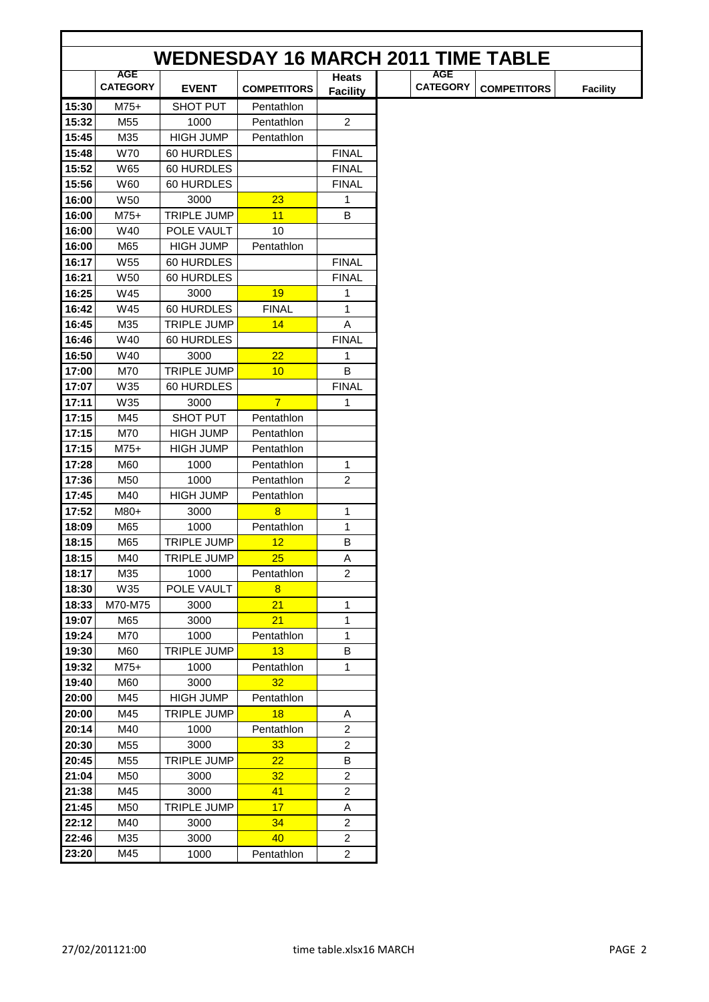|       | <b>WEDNESDAY 16 MARCH 2011 TIME TABLE</b> |                    |                    |                                 |  |                               |                    |                 |  |  |  |
|-------|-------------------------------------------|--------------------|--------------------|---------------------------------|--|-------------------------------|--------------------|-----------------|--|--|--|
|       |                                           |                    |                    |                                 |  |                               |                    |                 |  |  |  |
|       | <b>AGE</b><br><b>CATEGORY</b>             | <b>EVENT</b>       | <b>COMPETITORS</b> | <b>Heats</b><br><b>Facility</b> |  | <b>AGE</b><br><b>CATEGORY</b> | <b>COMPETITORS</b> | <b>Facility</b> |  |  |  |
| 15:30 | $M75+$                                    | <b>SHOT PUT</b>    | Pentathlon         |                                 |  |                               |                    |                 |  |  |  |
| 15:32 | M <sub>55</sub>                           | 1000               | Pentathlon         | $\overline{2}$                  |  |                               |                    |                 |  |  |  |
| 15:45 | M35                                       | <b>HIGH JUMP</b>   | Pentathlon         |                                 |  |                               |                    |                 |  |  |  |
| 15:48 | <b>W70</b>                                | 60 HURDLES         |                    | <b>FINAL</b>                    |  |                               |                    |                 |  |  |  |
| 15:52 | W65                                       | 60 HURDLES         |                    | <b>FINAL</b>                    |  |                               |                    |                 |  |  |  |
| 15:56 | W60                                       | 60 HURDLES         |                    | <b>FINAL</b>                    |  |                               |                    |                 |  |  |  |
| 16:00 | <b>W50</b>                                | 3000               | 23                 | 1                               |  |                               |                    |                 |  |  |  |
| 16:00 | $M75+$                                    | <b>TRIPLE JUMP</b> | 11                 | B                               |  |                               |                    |                 |  |  |  |
| 16:00 | W40                                       | POLE VAULT         | 10                 |                                 |  |                               |                    |                 |  |  |  |
| 16:00 | M65                                       | <b>HIGH JUMP</b>   | Pentathlon         |                                 |  |                               |                    |                 |  |  |  |
| 16:17 | W55                                       | 60 HURDLES         |                    | <b>FINAL</b>                    |  |                               |                    |                 |  |  |  |
| 16:21 | W <sub>50</sub>                           | 60 HURDLES         |                    | <b>FINAL</b>                    |  |                               |                    |                 |  |  |  |
| 16:25 | W45                                       | 3000               | 19                 | 1                               |  |                               |                    |                 |  |  |  |
| 16:42 | W45                                       | 60 HURDLES         | <b>FINAL</b>       | 1                               |  |                               |                    |                 |  |  |  |
| 16:45 | M35                                       | <b>TRIPLE JUMP</b> | 14                 | Α                               |  |                               |                    |                 |  |  |  |
| 16:46 | W40                                       | 60 HURDLES         |                    | <b>FINAL</b>                    |  |                               |                    |                 |  |  |  |
| 16:50 | W40                                       | 3000               | 22                 | 1                               |  |                               |                    |                 |  |  |  |
| 17:00 | M70                                       | TRIPLE JUMP        | 10                 | B                               |  |                               |                    |                 |  |  |  |
| 17:07 | W35                                       | 60 HURDLES         |                    | <b>FINAL</b>                    |  |                               |                    |                 |  |  |  |
| 17:11 | W35                                       | 3000               | $\overline{7}$     | 1                               |  |                               |                    |                 |  |  |  |
| 17:15 | M45                                       | <b>SHOT PUT</b>    | Pentathlon         |                                 |  |                               |                    |                 |  |  |  |
| 17:15 | M70                                       | <b>HIGH JUMP</b>   | Pentathlon         |                                 |  |                               |                    |                 |  |  |  |
| 17:15 | $M75+$                                    | <b>HIGH JUMP</b>   | Pentathlon         |                                 |  |                               |                    |                 |  |  |  |
| 17:28 | M60                                       | 1000               | Pentathlon         | $\mathbf{1}$                    |  |                               |                    |                 |  |  |  |
| 17:36 | M50                                       | 1000               | Pentathlon         | $\overline{2}$                  |  |                               |                    |                 |  |  |  |
| 17:45 | M40                                       | <b>HIGH JUMP</b>   | Pentathlon         |                                 |  |                               |                    |                 |  |  |  |
| 17:52 | M80+                                      | 3000               | $\overline{8}$     | 1                               |  |                               |                    |                 |  |  |  |
| 18:09 | M65                                       | 1000               | Pentathlon         | 1                               |  |                               |                    |                 |  |  |  |
| 18:15 | M65                                       | TRIPLE JUMP        | 12                 | В                               |  |                               |                    |                 |  |  |  |
| 18:15 | M40                                       | TRIPLE JUMP        | 25                 | Α                               |  |                               |                    |                 |  |  |  |
| 18:17 | M35                                       | 1000               | Pentathlon         | $\overline{c}$                  |  |                               |                    |                 |  |  |  |
| 18:30 | W35                                       | POLE VAULT         | 8                  |                                 |  |                               |                    |                 |  |  |  |
| 18:33 | M70-M75                                   | 3000               | 21                 | 1                               |  |                               |                    |                 |  |  |  |
| 19:07 | M65                                       | 3000               | 21                 | 1                               |  |                               |                    |                 |  |  |  |
| 19:24 | M70                                       | 1000               | Pentathlon         | 1                               |  |                               |                    |                 |  |  |  |
| 19:30 | M60                                       | <b>TRIPLE JUMP</b> | 13                 | B                               |  |                               |                    |                 |  |  |  |
| 19:32 | M75+                                      | 1000               | Pentathlon         | 1                               |  |                               |                    |                 |  |  |  |
| 19:40 | M60                                       | 3000               | 32                 |                                 |  |                               |                    |                 |  |  |  |
| 20:00 | M45                                       | <b>HIGH JUMP</b>   | Pentathlon         |                                 |  |                               |                    |                 |  |  |  |
| 20:00 | M45                                       | <b>TRIPLE JUMP</b> | 18                 | Α                               |  |                               |                    |                 |  |  |  |
| 20:14 | M40                                       | 1000               | Pentathlon         | $\overline{2}$                  |  |                               |                    |                 |  |  |  |
| 20:30 | M55                                       | 3000               | 33                 | $\overline{c}$                  |  |                               |                    |                 |  |  |  |
| 20:45 | M55                                       | <b>TRIPLE JUMP</b> | 22                 | B                               |  |                               |                    |                 |  |  |  |
| 21:04 |                                           | 3000               | 32                 | $\overline{c}$                  |  |                               |                    |                 |  |  |  |
| 21:38 | M50                                       | 3000               | 41                 | $\overline{c}$                  |  |                               |                    |                 |  |  |  |
| 21:45 | M45                                       | TRIPLE JUMP        | 17                 |                                 |  |                               |                    |                 |  |  |  |
|       | M50                                       |                    |                    | Α                               |  |                               |                    |                 |  |  |  |
| 22:12 | M40                                       | 3000               | 34                 | $\overline{c}$                  |  |                               |                    |                 |  |  |  |
| 22:46 | M35                                       | 3000               | 40                 | $\overline{c}$                  |  |                               |                    |                 |  |  |  |
| 23:20 | M45                                       | 1000               | Pentathlon         | $\overline{a}$                  |  |                               |                    |                 |  |  |  |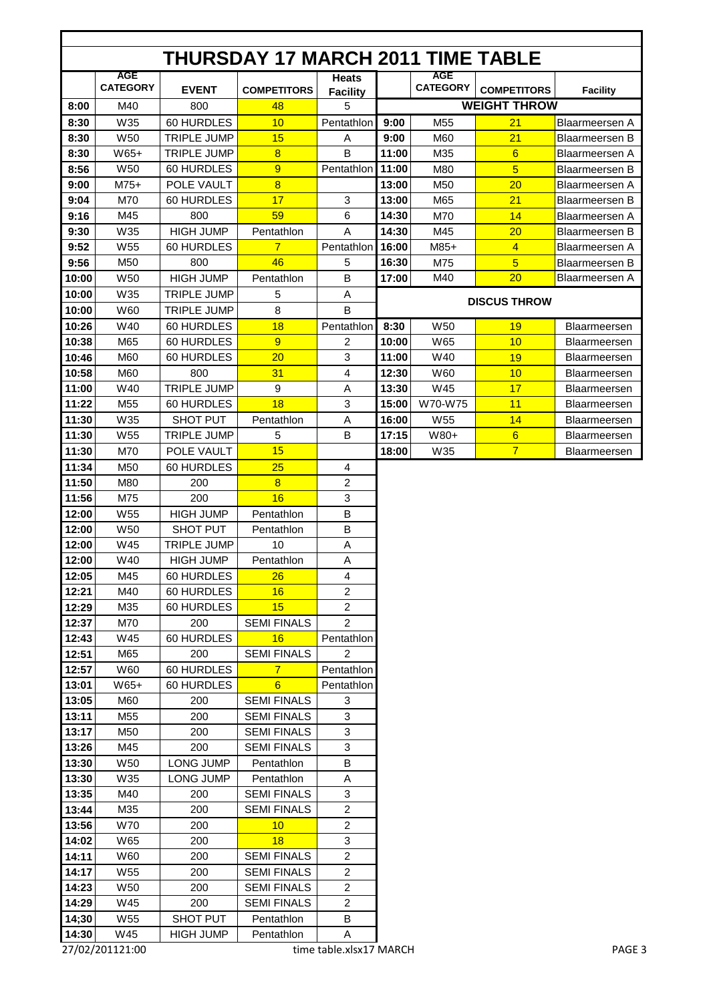|       |                               |                    | <b>THURSDAY 17 MARCH 2011 TIME TABLE</b> |                      |       |                               |                     |                       |
|-------|-------------------------------|--------------------|------------------------------------------|----------------------|-------|-------------------------------|---------------------|-----------------------|
|       | <b>AGE</b><br><b>CATEGORY</b> | <b>EVENT</b>       | <b>COMPETITORS</b>                       | <b>Heats</b>         |       | <b>AGE</b><br><b>CATEGORY</b> | <b>COMPETITORS</b>  | <b>Facility</b>       |
| 8:00  | M40                           | 800                | 48                                       | <b>Facility</b><br>5 |       |                               | <b>WEIGHT THROW</b> |                       |
| 8:30  | W35                           | 60 HURDLES         | 10                                       | Pentathlon           | 9:00  | M <sub>55</sub>               | 21                  | Blaarmeersen A        |
| 8:30  | W50                           | <b>TRIPLE JUMP</b> | 15                                       | A                    | 9:00  | M60                           | 21                  | <b>Blaarmeersen B</b> |
| 8:30  | W65+                          | <b>TRIPLE JUMP</b> | $\overline{8}$                           | B                    | 11:00 | M35                           | $6\overline{6}$     | Blaarmeersen A        |
| 8:56  | W <sub>50</sub>               | 60 HURDLES         | 9                                        | Pentathlon           | 11:00 | M80                           | $\overline{5}$      | <b>Blaarmeersen B</b> |
| 9:00  | $M75+$                        | POLE VAULT         | $\overline{8}$                           |                      | 13:00 | M50                           | 20                  | <b>Blaarmeersen A</b> |
| 9:04  | M70                           | 60 HURDLES         | 17                                       | 3                    | 13:00 | M65                           | 21                  | <b>Blaarmeersen B</b> |
| 9:16  | M45                           | 800                | 59                                       | 6                    | 14:30 | M70                           | 14                  | Blaarmeersen A        |
| 9:30  | W35                           | <b>HIGH JUMP</b>   | Pentathlon                               | A                    | 14:30 | M45                           | 20                  | <b>Blaarmeersen B</b> |
| 9:52  | W <sub>55</sub>               | 60 HURDLES         | $\overline{7}$                           | Pentathlon           | 16:00 | $M85+$                        | $\overline{4}$      | Blaarmeersen A        |
| 9:56  | M50                           | 800                | 46                                       | 5                    | 16:30 | M75                           | $\overline{5}$      | Blaarmeersen B        |
| 10:00 | W50                           | <b>HIGH JUMP</b>   | Pentathlon                               | B                    | 17:00 | M40                           | 20                  | Blaarmeersen A        |
|       |                               |                    |                                          |                      |       |                               |                     |                       |
| 10:00 | W35                           | <b>TRIPLE JUMP</b> | 5                                        | Α<br>B               |       |                               | <b>DISCUS THROW</b> |                       |
| 10:00 | W60                           | <b>TRIPLE JUMP</b> | 8                                        |                      |       |                               |                     |                       |
| 10:26 | W40                           | 60 HURDLES         | 18                                       | Pentathlon           | 8:30  | W50                           | 19                  | Blaarmeersen          |
| 10:38 | M65                           | 60 HURDLES         | 9                                        | 2                    | 10:00 | W65                           | 10                  | <b>Blaarmeersen</b>   |
| 10:46 | M60                           | 60 HURDLES         | 20                                       | 3                    | 11:00 | W40                           | 19                  | <b>Blaarmeersen</b>   |
| 10:58 | M60                           | 800                | 31                                       | 4                    | 12:30 | W60                           | 10                  | Blaarmeersen          |
| 11:00 | W40                           | <b>TRIPLE JUMP</b> | 9                                        | A                    | 13:30 | W45                           | 17                  | Blaarmeersen          |
| 11:22 | M55                           | 60 HURDLES         | 18                                       | 3                    | 15:00 | W70-W75                       | 11                  | Blaarmeersen          |
| 11:30 | W35                           | SHOT PUT           | Pentathlon                               | Α                    | 16:00 | W <sub>55</sub>               | 14                  | <b>Blaarmeersen</b>   |
| 11:30 | W <sub>55</sub>               | <b>TRIPLE JUMP</b> | 5                                        | B                    | 17:15 | W80+                          | 6                   | Blaarmeersen          |
| 11:30 | M70                           | POLE VAULT         | 15                                       |                      | 18:00 | W35                           | $\overline{7}$      | Blaarmeersen          |
| 11:34 | M50                           | 60 HURDLES         | 25                                       | 4                    |       |                               |                     |                       |
| 11:50 | M80                           | 200                | $\overline{8}$                           | $\overline{2}$       |       |                               |                     |                       |
| 11:56 | M75                           | 200                | 16                                       | 3                    |       |                               |                     |                       |
| 12:00 | W55                           | <b>HIGH JUMP</b>   | Pentathlon                               | B                    |       |                               |                     |                       |
| 12:00 | W50                           | <b>SHOT PUT</b>    | Pentathlon                               | B                    |       |                               |                     |                       |
| 12:00 | W45                           | <b>TRIPLE JUMP</b> | 10                                       | Α                    |       |                               |                     |                       |
| 12:00 | W40                           | <b>HIGH JUMP</b>   | Pentathlon                               | A                    |       |                               |                     |                       |
| 12:05 | M45                           | 60 HURDLES         | 26                                       | 4                    |       |                               |                     |                       |
| 12:21 | M40                           | 60 HURDLES         | 16                                       | 2                    |       |                               |                     |                       |
| 12:29 | M35                           | 60 HURDLES         | 15                                       | $\overline{a}$       |       |                               |                     |                       |
| 12:37 | M70                           | 200                | <b>SEMI FINALS</b>                       | $\overline{2}$       |       |                               |                     |                       |
| 12:43 | W45                           | 60 HURDLES         | 16                                       | Pentathlon           |       |                               |                     |                       |
| 12:51 | M65                           | 200                | <b>SEMI FINALS</b>                       | $\overline{2}$       |       |                               |                     |                       |
| 12:57 | W60                           | 60 HURDLES         | $\overline{7}$                           | Pentathlon           |       |                               |                     |                       |
| 13:01 | W65+                          | 60 HURDLES         | 6                                        | Pentathlon           |       |                               |                     |                       |
| 13:05 | M60                           | 200                | <b>SEMI FINALS</b>                       | 3                    |       |                               |                     |                       |
| 13:11 | M55                           | 200                | <b>SEMI FINALS</b>                       | 3                    |       |                               |                     |                       |
| 13:17 | M50                           | 200                | <b>SEMI FINALS</b>                       | 3                    |       |                               |                     |                       |
| 13:26 | M45                           | 200                | <b>SEMI FINALS</b>                       | 3                    |       |                               |                     |                       |
| 13:30 | W <sub>50</sub>               | LONG JUMP          | Pentathlon                               | В                    |       |                               |                     |                       |
| 13:30 | W35                           | LONG JUMP          | Pentathlon                               | Α                    |       |                               |                     |                       |
| 13:35 | M40                           | 200                | <b>SEMI FINALS</b>                       | 3                    |       |                               |                     |                       |
| 13:44 | M35                           | 200                | <b>SEMI FINALS</b>                       | 2                    |       |                               |                     |                       |
| 13:56 | <b>W70</b>                    | 200                | 10                                       | $\overline{a}$       |       |                               |                     |                       |
| 14:02 | W65                           | 200                | 18                                       | 3                    |       |                               |                     |                       |
| 14:11 | W60                           | 200                | <b>SEMI FINALS</b>                       | $\overline{a}$       |       |                               |                     |                       |
| 14:17 | W55                           | 200                | <b>SEMI FINALS</b>                       | $\overline{a}$       |       |                               |                     |                       |
| 14:23 | W50                           | 200                | <b>SEMI FINALS</b>                       | $\overline{a}$       |       |                               |                     |                       |
| 14:29 | W45                           | 200                | <b>SEMI FINALS</b>                       | $\overline{a}$       |       |                               |                     |                       |
| 14;30 | W55                           | SHOT PUT           | Pentathlon                               | В                    |       |                               |                     |                       |
| 14:30 | W45                           | <b>HIGH JUMP</b>   | Pentathlon                               | A                    |       |                               |                     |                       |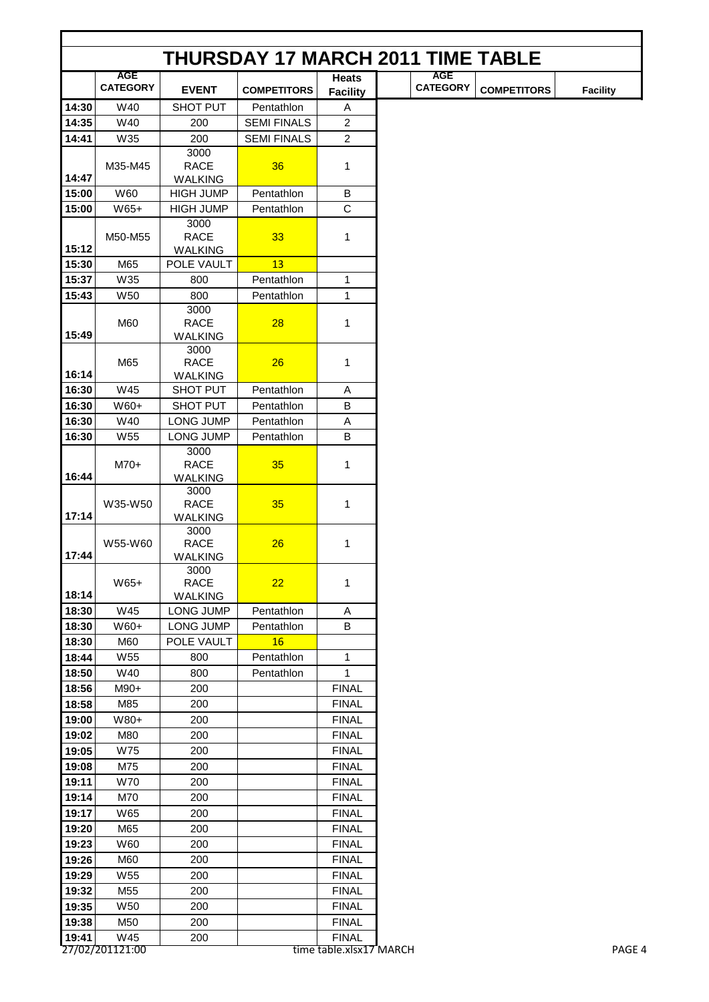|                | <b>THURSDAY 17 MARCH 2011 TIME TABLE</b> |                                     |                    |                                 |  |                 |                    |                 |  |  |  |
|----------------|------------------------------------------|-------------------------------------|--------------------|---------------------------------|--|-----------------|--------------------|-----------------|--|--|--|
|                | <b>AGE</b>                               |                                     |                    |                                 |  | <b>AGE</b>      |                    |                 |  |  |  |
|                | <b>CATEGORY</b>                          | <b>EVENT</b>                        | <b>COMPETITORS</b> | <b>Heats</b><br><b>Facility</b> |  | <b>CATEGORY</b> | <b>COMPETITORS</b> | <b>Facility</b> |  |  |  |
| 14:30          | W40                                      | <b>SHOT PUT</b>                     | Pentathlon         | Α                               |  |                 |                    |                 |  |  |  |
| 14:35          | W40                                      | 200                                 | <b>SEMI FINALS</b> | $\overline{2}$                  |  |                 |                    |                 |  |  |  |
| 14:41          | W35                                      | 200                                 | <b>SEMI FINALS</b> | $\overline{2}$                  |  |                 |                    |                 |  |  |  |
|                |                                          | 3000                                |                    |                                 |  |                 |                    |                 |  |  |  |
|                | M35-M45                                  | <b>RACE</b>                         | 36                 | 1                               |  |                 |                    |                 |  |  |  |
| 14:47          |                                          | <b>WALKING</b>                      |                    |                                 |  |                 |                    |                 |  |  |  |
| 15:00          | W60                                      | <b>HIGH JUMP</b>                    | Pentathlon         | B                               |  |                 |                    |                 |  |  |  |
| 15:00          | $W65+$                                   | <b>HIGH JUMP</b>                    | Pentathlon         | $\mathbf C$                     |  |                 |                    |                 |  |  |  |
|                | M50-M55                                  | 3000<br><b>RACE</b>                 | 33                 | 1                               |  |                 |                    |                 |  |  |  |
| 15:12          |                                          | <b>WALKING</b>                      |                    |                                 |  |                 |                    |                 |  |  |  |
| 15:30          | M65                                      | POLE VAULT                          | 13                 |                                 |  |                 |                    |                 |  |  |  |
| 15:37          | W35                                      | 800                                 | Pentathlon         | 1                               |  |                 |                    |                 |  |  |  |
| 15:43          | <b>W50</b>                               | 800                                 | Pentathlon         | 1                               |  |                 |                    |                 |  |  |  |
|                |                                          | 3000                                |                    |                                 |  |                 |                    |                 |  |  |  |
|                | M60                                      | <b>RACE</b>                         | 28                 | 1                               |  |                 |                    |                 |  |  |  |
| 15:49          |                                          | <b>WALKING</b>                      |                    |                                 |  |                 |                    |                 |  |  |  |
|                |                                          | 3000                                |                    |                                 |  |                 |                    |                 |  |  |  |
|                | M65                                      | <b>RACE</b>                         | 26                 | 1                               |  |                 |                    |                 |  |  |  |
| 16:14<br>16:30 | W45                                      | <b>WALKING</b><br><b>SHOT PUT</b>   | Pentathlon         | A                               |  |                 |                    |                 |  |  |  |
|                |                                          |                                     | Pentathlon         | $\sf B$                         |  |                 |                    |                 |  |  |  |
| 16:30<br>16:30 | W60+<br>W40                              | <b>SHOT PUT</b><br><b>LONG JUMP</b> | Pentathlon         |                                 |  |                 |                    |                 |  |  |  |
| 16:30          | W <sub>55</sub>                          | LONG JUMP                           | Pentathlon         | Α<br>B                          |  |                 |                    |                 |  |  |  |
|                |                                          | 3000                                |                    |                                 |  |                 |                    |                 |  |  |  |
|                | $M70+$                                   | <b>RACE</b>                         | 35                 | 1                               |  |                 |                    |                 |  |  |  |
| 16:44          |                                          | <b>WALKING</b>                      |                    |                                 |  |                 |                    |                 |  |  |  |
|                |                                          | 3000                                |                    |                                 |  |                 |                    |                 |  |  |  |
|                | W35-W50                                  | <b>RACE</b>                         | 35                 | 1                               |  |                 |                    |                 |  |  |  |
| 17:14          |                                          | <b>WALKING</b><br>3000              |                    |                                 |  |                 |                    |                 |  |  |  |
|                | W55-W60                                  | <b>RACE</b>                         | 26                 | 1                               |  |                 |                    |                 |  |  |  |
| 17:44          |                                          | WALKING                             |                    |                                 |  |                 |                    |                 |  |  |  |
|                |                                          | 3000                                |                    |                                 |  |                 |                    |                 |  |  |  |
|                | $W65+$                                   | <b>RACE</b>                         | 22                 | 1                               |  |                 |                    |                 |  |  |  |
| 18:14          |                                          | <b>WALKING</b>                      |                    |                                 |  |                 |                    |                 |  |  |  |
| 18:30          | W45                                      | LONG JUMP                           | Pentathlon         | Α                               |  |                 |                    |                 |  |  |  |
| 18:30          | W60+                                     | LONG JUMP                           | Pentathlon         | B                               |  |                 |                    |                 |  |  |  |
| 18:30          | M60                                      | POLE VAULT                          | 16                 |                                 |  |                 |                    |                 |  |  |  |
| 18:44          | W55                                      | 800                                 | Pentathlon         | 1                               |  |                 |                    |                 |  |  |  |
| 18:50          | W40                                      | 800                                 | Pentathlon         | 1                               |  |                 |                    |                 |  |  |  |
| 18:56          | M90+                                     | 200                                 |                    | <b>FINAL</b>                    |  |                 |                    |                 |  |  |  |
| 18:58          | M85                                      | 200                                 |                    | <b>FINAL</b>                    |  |                 |                    |                 |  |  |  |
| 19:00          | W80+                                     | 200                                 |                    | <b>FINAL</b>                    |  |                 |                    |                 |  |  |  |
| 19:02          | M80                                      | 200                                 |                    | <b>FINAL</b><br><b>FINAL</b>    |  |                 |                    |                 |  |  |  |
| 19:05          | W75                                      | 200                                 |                    |                                 |  |                 |                    |                 |  |  |  |
| 19:08          | M75                                      | 200                                 |                    | <b>FINAL</b>                    |  |                 |                    |                 |  |  |  |
| 19:11<br>19:14 | <b>W70</b><br>M70                        | 200<br>200                          |                    | <b>FINAL</b><br><b>FINAL</b>    |  |                 |                    |                 |  |  |  |
| 19:17          | W65                                      | 200                                 |                    | <b>FINAL</b>                    |  |                 |                    |                 |  |  |  |
| 19:20          | M65                                      | 200                                 |                    | <b>FINAL</b>                    |  |                 |                    |                 |  |  |  |
| 19:23          | W60                                      | 200                                 |                    | <b>FINAL</b>                    |  |                 |                    |                 |  |  |  |
| 19:26          | M60                                      | 200                                 |                    | <b>FINAL</b>                    |  |                 |                    |                 |  |  |  |
| 19:29          | W <sub>55</sub>                          | 200                                 |                    | <b>FINAL</b>                    |  |                 |                    |                 |  |  |  |
| 19:32          | M55                                      | 200                                 |                    | <b>FINAL</b>                    |  |                 |                    |                 |  |  |  |
| 19:35          | W50                                      | 200                                 |                    | <b>FINAL</b>                    |  |                 |                    |                 |  |  |  |
| 19:38          | M50                                      | 200                                 |                    | <b>FINAL</b>                    |  |                 |                    |                 |  |  |  |
| 19:41          | W45                                      | 200                                 |                    | <b>FINAL</b>                    |  |                 |                    |                 |  |  |  |
|                | 27/02/201121:00                          |                                     |                    | time table.xlsx17 MARCH         |  |                 |                    | PAGE 4          |  |  |  |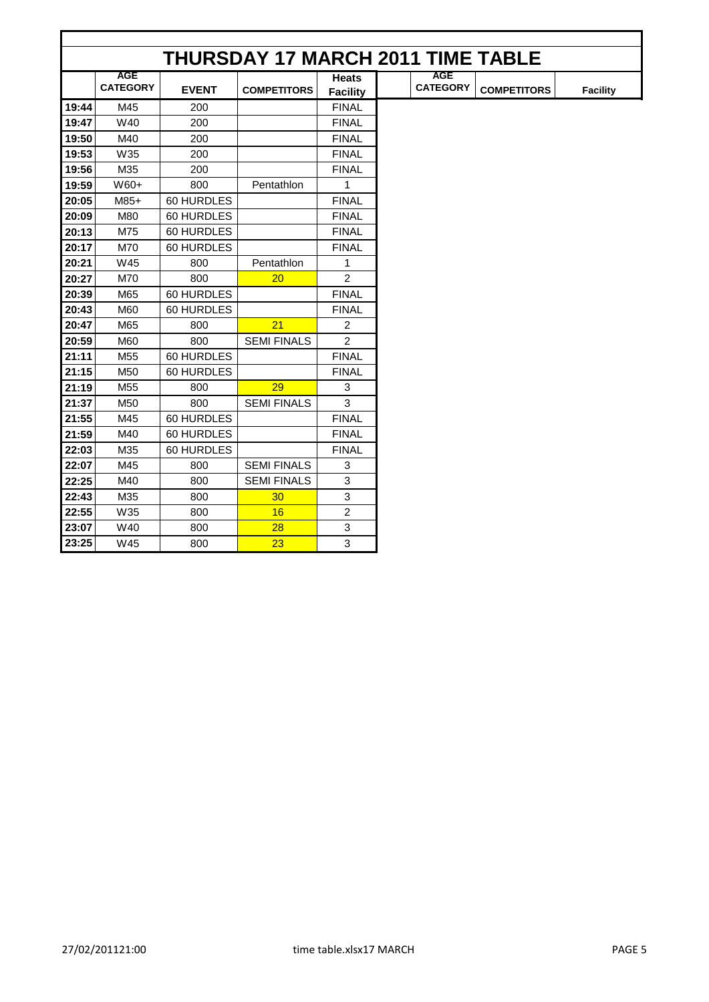|       |                               |              | <b>THURSDAY 17 MARCH 2011 TIME TABLE</b> |                                 |                               |                    |                 |
|-------|-------------------------------|--------------|------------------------------------------|---------------------------------|-------------------------------|--------------------|-----------------|
|       | <b>AGE</b><br><b>CATEGORY</b> | <b>EVENT</b> | <b>COMPETITORS</b>                       | <b>Heats</b><br><b>Facility</b> | <b>AGE</b><br><b>CATEGORY</b> | <b>COMPETITORS</b> | <b>Facility</b> |
| 19:44 | M45                           | 200          |                                          | <b>FINAL</b>                    |                               |                    |                 |
| 19:47 | W40                           | 200          |                                          | <b>FINAL</b>                    |                               |                    |                 |
| 19:50 | M40                           | 200          |                                          | <b>FINAL</b>                    |                               |                    |                 |
| 19:53 | W35                           | 200          |                                          | <b>FINAL</b>                    |                               |                    |                 |
| 19:56 | M35                           | 200          |                                          | <b>FINAL</b>                    |                               |                    |                 |
| 19:59 | W60+                          | 800          | Pentathlon                               | 1                               |                               |                    |                 |
| 20:05 | $M85+$                        | 60 HURDLES   |                                          | <b>FINAL</b>                    |                               |                    |                 |
| 20:09 | M80                           | 60 HURDLES   |                                          | <b>FINAL</b>                    |                               |                    |                 |
| 20:13 | M75                           | 60 HURDLES   |                                          | <b>FINAL</b>                    |                               |                    |                 |
| 20:17 | M70                           | 60 HURDLES   |                                          | <b>FINAL</b>                    |                               |                    |                 |
| 20:21 | W45                           | 800          | Pentathlon                               | 1                               |                               |                    |                 |
| 20:27 | M70                           | 800          | 20                                       | 2                               |                               |                    |                 |
| 20:39 | M65                           | 60 HURDLES   |                                          | <b>FINAL</b>                    |                               |                    |                 |
| 20:43 | M60                           | 60 HURDLES   |                                          | <b>FINAL</b>                    |                               |                    |                 |
| 20:47 | M65                           | 800          | 21                                       | $\overline{c}$                  |                               |                    |                 |
| 20:59 | M60                           | 800          | <b>SEMI FINALS</b>                       | $\overline{2}$                  |                               |                    |                 |
| 21:11 | M55                           | 60 HURDLES   |                                          | <b>FINAL</b>                    |                               |                    |                 |
| 21:15 | M50                           | 60 HURDLES   |                                          | <b>FINAL</b>                    |                               |                    |                 |
| 21:19 | M55                           | 800          | 29                                       | 3                               |                               |                    |                 |
| 21:37 | M50                           | 800          | <b>SEMI FINALS</b>                       | 3                               |                               |                    |                 |
| 21:55 | M45                           | 60 HURDLES   |                                          | <b>FINAL</b>                    |                               |                    |                 |
| 21:59 | M40                           | 60 HURDLES   |                                          | <b>FINAL</b>                    |                               |                    |                 |
| 22:03 | M35                           | 60 HURDLES   |                                          | <b>FINAL</b>                    |                               |                    |                 |
| 22:07 | M45                           | 800          | <b>SEMI FINALS</b>                       | 3                               |                               |                    |                 |
| 22:25 | M40                           | 800          | <b>SEMI FINALS</b>                       | 3                               |                               |                    |                 |
| 22:43 | M35                           | 800          | 30 <sub>o</sub>                          | 3                               |                               |                    |                 |
| 22:55 | W35                           | 800          | 16                                       | $\overline{2}$                  |                               |                    |                 |
| 23:07 | W40                           | 800          | 28                                       | $\mathbf{3}$                    |                               |                    |                 |
| 23:25 | W45                           | 800          | 23                                       | 3                               |                               |                    |                 |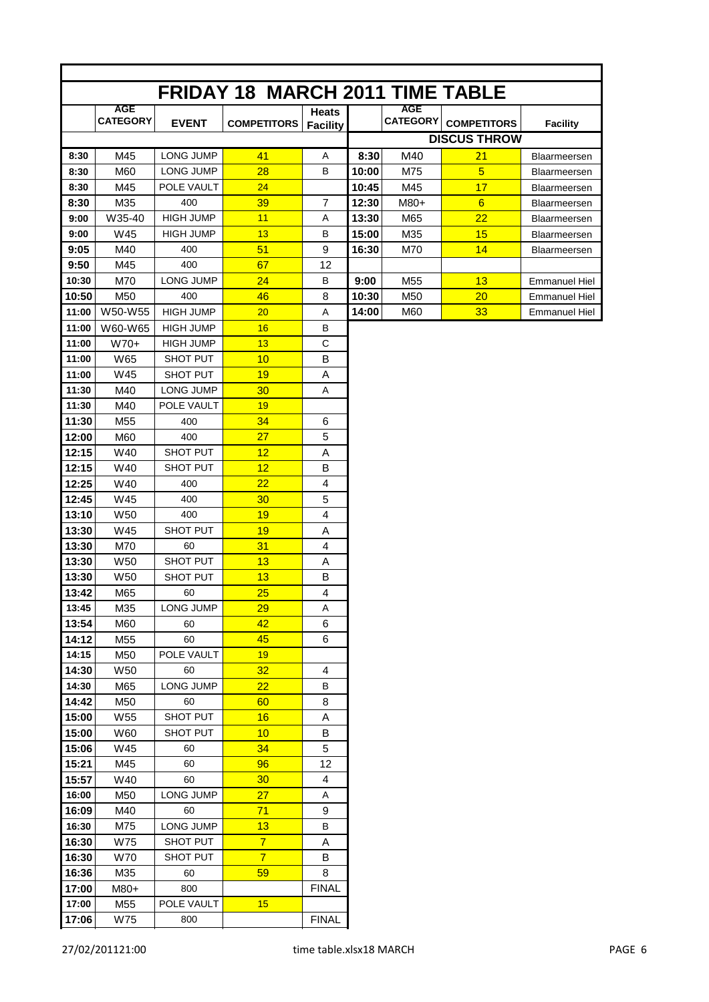|                |                   |                       | <b>FRIDAY 18 MARCH 2011 TIME TABLE</b> |                 |       |                 |                     |                      |
|----------------|-------------------|-----------------------|----------------------------------------|-----------------|-------|-----------------|---------------------|----------------------|
|                | <b>AGE</b>        |                       |                                        | <b>Heats</b>    |       | <b>AGE</b>      |                     |                      |
|                | <b>CATEGORY</b>   | <b>EVENT</b>          | <b>COMPETITORS</b>                     | <b>Facility</b> |       | <b>CATEGORY</b> | <b>COMPETITORS</b>  | <b>Facility</b>      |
|                |                   |                       |                                        |                 |       |                 | <b>DISCUS THROW</b> |                      |
| 8:30           | M45               | <b>LONG JUMP</b>      | 41                                     | A               | 8:30  | M40             | 21                  | <b>Blaarmeersen</b>  |
| 8:30           | M60               | <b>LONG JUMP</b>      | 28                                     | B               | 10:00 | M75             | $\overline{5}$      | Blaarmeersen         |
| 8:30           | M45               | POLE VAULT            | 24                                     |                 | 10:45 | M45             | 17                  | Blaarmeersen         |
| 8:30           | M35               | 400                   | 39                                     | $\overline{7}$  | 12:30 | $M80+$          | 6                   | Blaarmeersen         |
| 9:00           | W35-40            | <b>HIGH JUMP</b>      | 11                                     | Α               | 13:30 | M65             | 22                  | Blaarmeersen         |
| 9:00           | W45               | <b>HIGH JUMP</b>      | 13                                     | В               | 15:00 | M35             | 15                  | Blaarmeersen         |
| 9:05           | M40               | 400                   | 51                                     | 9               | 16:30 | M70             | 14                  | Blaarmeersen         |
| 9:50           | M45               | 400                   | 67                                     | 12              |       |                 |                     |                      |
| 10:30          | M70               | <b>LONG JUMP</b>      | 24                                     | В               | 9:00  | M <sub>55</sub> | 13                  | <b>Emmanuel Hiel</b> |
| 10:50          | M50               | 400                   | 46                                     | 8               | 10:30 | M50             | 20                  | <b>Emmanuel Hiel</b> |
| 11:00          | W50-W55           | <b>HIGH JUMP</b>      | 20                                     | A               | 14:00 | M60             | 33                  | <b>Emmanuel Hiel</b> |
| 11:00          | W60-W65           | <b>HIGH JUMP</b>      | 16                                     | в               |       |                 |                     |                      |
| 11:00          | $W70+$            | <b>HIGH JUMP</b>      | 13                                     | C               |       |                 |                     |                      |
| 11:00          | W65               | SHOT PUT              | 10                                     | B               |       |                 |                     |                      |
| 11:00          | W45               | SHOT PUT              | 19                                     | A               |       |                 |                     |                      |
| 11:30          | M40               | LONG JUMP             | 30                                     | Α               |       |                 |                     |                      |
| 11:30          | M40               | POLE VAULT            | 19                                     |                 |       |                 |                     |                      |
| 11:30          | M55               | 400                   | 34                                     | 6               |       |                 |                     |                      |
| 12:00          | M60               | 400                   | 27                                     | 5               |       |                 |                     |                      |
| 12:15          | W40               | SHOT PUT              | 12                                     | A               |       |                 |                     |                      |
| 12:15          | W40               | SHOT PUT              | 12                                     | B               |       |                 |                     |                      |
| 12:25          | W40               | 400                   | 22                                     | $\overline{4}$  |       |                 |                     |                      |
| 12:45          | W45               | 400                   | 30                                     | 5               |       |                 |                     |                      |
| 13:10          | <b>W50</b>        | 400                   | 19                                     | $\overline{4}$  |       |                 |                     |                      |
| 13:30          | W45               | SHOT PUT              | 19                                     | Α               |       |                 |                     |                      |
| 13:30<br>13:30 | M70<br><b>W50</b> | 60<br><b>SHOT PUT</b> | 31                                     | $\overline{4}$  |       |                 |                     |                      |
| 13:30          | W <sub>50</sub>   | <b>SHOT PUT</b>       | 13<br>13                               | Α<br>В          |       |                 |                     |                      |
| 13:42          | M65               | 60                    | 25                                     | $\overline{4}$  |       |                 |                     |                      |
| 13:45          | M35               | LONG JUMP             | 29                                     | Α               |       |                 |                     |                      |
| 13:54          | M60               | 60                    | 42                                     | 6               |       |                 |                     |                      |
| 14:12          | M55               | 60                    | 45                                     | 6               |       |                 |                     |                      |
| 14:15          | M50               | POLE VAULT            | 19                                     |                 |       |                 |                     |                      |
| 14:30          | W50               | 60                    | 32                                     | 4               |       |                 |                     |                      |
| 14:30          | M65               | LONG JUMP             | 22                                     | В               |       |                 |                     |                      |
| 14:42          | M50               | 60                    | 60                                     | 8               |       |                 |                     |                      |
| 15:00          | W55               | SHOT PUT              | 16                                     | Α               |       |                 |                     |                      |
| 15:00          | W60               | SHOT PUT              | 10                                     | В               |       |                 |                     |                      |
| 15:06          | W45               | 60                    | 34                                     | 5               |       |                 |                     |                      |
| 15:21          | M45               | 60                    | 96                                     | 12              |       |                 |                     |                      |
| 15:57          | W40               | 60                    | 30 <sub>2</sub>                        | 4               |       |                 |                     |                      |
| 16:00          | M50               | LONG JUMP             | 27                                     | A               |       |                 |                     |                      |
| 16:09          | M40               | 60                    | 71                                     | 9               |       |                 |                     |                      |
| 16:30          | M75               | LONG JUMP             | 13                                     | В               |       |                 |                     |                      |
| 16:30          | W75               | SHOT PUT              | $\overline{7}$                         | Α               |       |                 |                     |                      |
| 16:30          | W70               | SHOT PUT              | $\overline{7}$                         | В               |       |                 |                     |                      |
| 16:36          | M35               | 60                    | 59                                     | 8               |       |                 |                     |                      |
| 17:00          | M80+              | 800                   |                                        | <b>FINAL</b>    |       |                 |                     |                      |
| 17:00          | M55               | POLE VAULT            | 15                                     |                 |       |                 |                     |                      |
| 17:06          | W75               | 800                   |                                        | <b>FINAL</b>    |       |                 |                     |                      |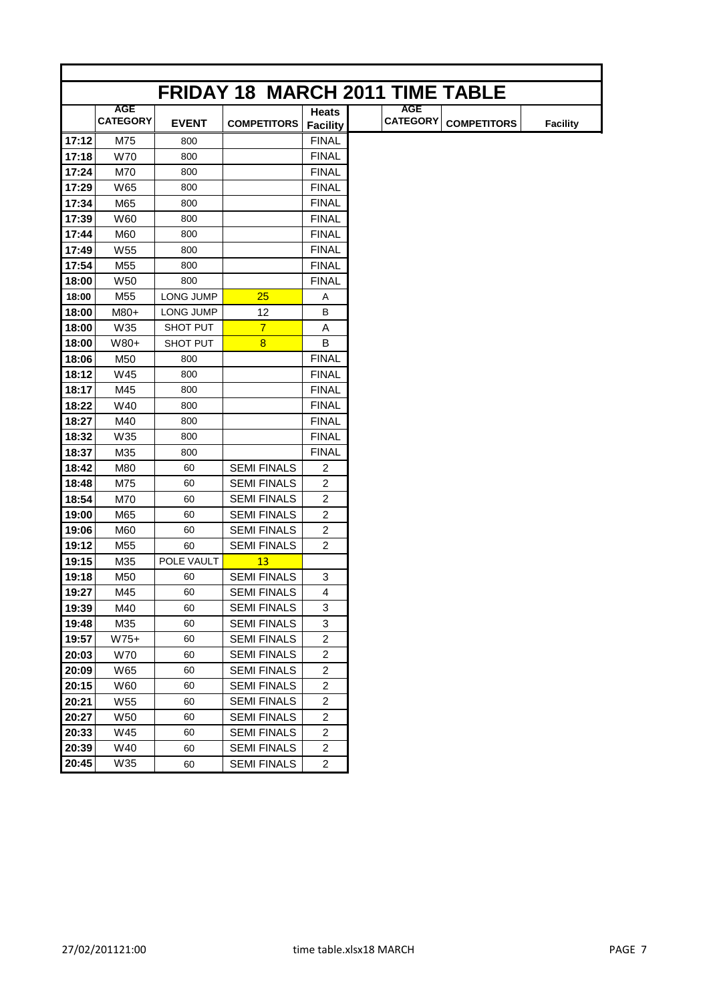|       |                               |                  | <b>FRIDAY 18 MARCH 2011 TIME TABLE</b> |                         |                               |                    |                 |
|-------|-------------------------------|------------------|----------------------------------------|-------------------------|-------------------------------|--------------------|-----------------|
|       | <b>AGE</b><br><b>CATEGORY</b> | <b>EVENT</b>     | <b>COMPETITORS</b>                     | <b>Heats</b>            | <b>AGE</b><br><b>CATEGORY</b> | <b>COMPETITORS</b> | <b>Facility</b> |
|       |                               |                  |                                        | <b>Facility</b>         |                               |                    |                 |
| 17:12 | M75                           | 800              |                                        | <b>FINAL</b>            |                               |                    |                 |
| 17:18 | <b>W70</b>                    | 800              |                                        | <b>FINAL</b>            |                               |                    |                 |
| 17:24 | M70                           | 800              |                                        | <b>FINAL</b>            |                               |                    |                 |
| 17:29 | W65                           | 800              |                                        | <b>FINAL</b>            |                               |                    |                 |
| 17:34 | M65                           | 800              |                                        | <b>FINAL</b>            |                               |                    |                 |
| 17:39 | W60                           | 800              |                                        | FINAL                   |                               |                    |                 |
| 17:44 | M60                           | 800              |                                        | <b>FINAL</b>            |                               |                    |                 |
| 17:49 | W <sub>55</sub>               | 800              |                                        | <b>FINAL</b>            |                               |                    |                 |
| 17:54 | M <sub>55</sub>               | 800              |                                        | <b>FINAL</b>            |                               |                    |                 |
| 18:00 | W <sub>50</sub>               | 800              |                                        | <b>FINAL</b>            |                               |                    |                 |
| 18:00 | M55                           | <b>LONG JUMP</b> | 25                                     | Α                       |                               |                    |                 |
| 18:00 | M80+                          | <b>LONG JUMP</b> | 12                                     | B                       |                               |                    |                 |
| 18:00 | W35                           | SHOT PUT         | $\overline{7}$                         | A                       |                               |                    |                 |
| 18:00 | W80+                          | SHOT PUT         | $\overline{8}$                         | B                       |                               |                    |                 |
| 18:06 | M50                           | 800              |                                        | <b>FINAL</b>            |                               |                    |                 |
| 18:12 | W45                           | 800              |                                        | <b>FINAL</b>            |                               |                    |                 |
| 18:17 | M45                           | 800              |                                        | <b>FINAL</b>            |                               |                    |                 |
| 18:22 | W40                           | 800              |                                        | <b>FINAL</b>            |                               |                    |                 |
| 18:27 | M40                           | 800              |                                        | <b>FINAL</b>            |                               |                    |                 |
| 18:32 | W35                           | 800              |                                        | <b>FINAL</b>            |                               |                    |                 |
| 18:37 | M35                           | 800              |                                        | <b>FINAL</b>            |                               |                    |                 |
| 18:42 | M80                           | 60               | <b>SEMI FINALS</b>                     | 2                       |                               |                    |                 |
| 18:48 | M75                           | 60               | <b>SEMI FINALS</b>                     | $\overline{c}$          |                               |                    |                 |
| 18:54 | M70                           | 60               | <b>SEMI FINALS</b>                     | $\overline{c}$          |                               |                    |                 |
| 19:00 | M65                           | 60               | <b>SEMI FINALS</b>                     | $\overline{c}$          |                               |                    |                 |
| 19:06 | M60                           | 60               | <b>SEMI FINALS</b>                     | $\overline{2}$          |                               |                    |                 |
| 19:12 | M <sub>55</sub>               | 60               | <b>SEMI FINALS</b>                     | $\overline{2}$          |                               |                    |                 |
| 19:15 | M35                           | POLE VAULT       | 13                                     |                         |                               |                    |                 |
| 19:18 | M50                           | 60               | <b>SEMI FINALS</b>                     | 3                       |                               |                    |                 |
| 19:27 | M45                           | 60               | <b>SEMI FINALS</b>                     | 4                       |                               |                    |                 |
| 19:39 | M40                           | 60               | <b>SEMI FINALS</b>                     | 3                       |                               |                    |                 |
| 19:48 | M35                           | 60               | <b>SEMI FINALS</b>                     | 3                       |                               |                    |                 |
| 19:57 | $W75+$                        | 60               | <b>SEMI FINALS</b>                     | $\overline{\mathbf{c}}$ |                               |                    |                 |
| 20:03 | W70                           | 60               | <b>SEMI FINALS</b>                     | $\overline{c}$          |                               |                    |                 |
| 20:09 | W65                           | 60               | <b>SEMI FINALS</b>                     | $\overline{c}$          |                               |                    |                 |
| 20:15 | W60                           | 60               | <b>SEMI FINALS</b>                     | $\overline{c}$          |                               |                    |                 |
| 20:21 | W55                           | 60               | <b>SEMI FINALS</b>                     | $\overline{2}$          |                               |                    |                 |
| 20:27 | W50                           | 60               | <b>SEMI FINALS</b>                     | $\overline{c}$          |                               |                    |                 |
| 20:33 | W45                           | 60               | <b>SEMI FINALS</b>                     | $\overline{\mathbf{c}}$ |                               |                    |                 |
| 20:39 | W40                           | 60               | <b>SEMI FINALS</b>                     | $\overline{c}$          |                               |                    |                 |
| 20:45 | W35                           |                  | <b>SEMI FINALS</b>                     | $\overline{c}$          |                               |                    |                 |
|       |                               | 60               |                                        |                         |                               |                    |                 |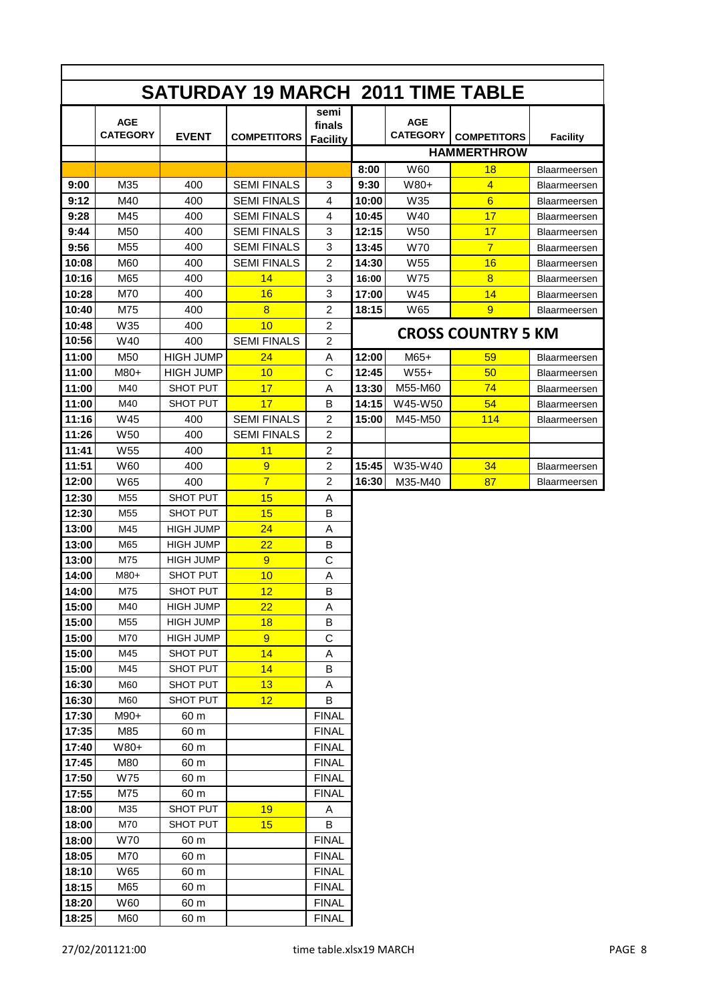|                | <b>SATURDAY 19 MARCH 2011 TIME TABLE</b> |                  |                    |                                   |       |                               |                           |                     |
|----------------|------------------------------------------|------------------|--------------------|-----------------------------------|-------|-------------------------------|---------------------------|---------------------|
|                | <b>AGE</b><br><b>CATEGORY</b>            | <b>EVENT</b>     | <b>COMPETITORS</b> | semi<br>finals<br><b>Facility</b> |       | <b>AGE</b><br><b>CATEGORY</b> | <b>COMPETITORS</b>        | <b>Facility</b>     |
|                |                                          |                  |                    |                                   |       |                               | <b>HAMMERTHROW</b>        |                     |
|                |                                          |                  |                    |                                   | 8:00  | W60                           | 18                        | Blaarmeersen        |
| 9:00           | M35                                      | 400              | <b>SEMI FINALS</b> | 3                                 | 9:30  | W80+                          | $\overline{4}$            | Blaarmeersen        |
| 9:12           | M40                                      | 400              | <b>SEMI FINALS</b> | 4                                 | 10:00 | W35                           | $6\overline{6}$           | Blaarmeersen        |
| 9:28           | M45                                      | 400              | <b>SEMI FINALS</b> | 4                                 | 10:45 | W40                           | 17                        | Blaarmeersen        |
| 9:44           | M50                                      | 400              | <b>SEMI FINALS</b> | 3                                 | 12:15 | W <sub>50</sub>               | 17                        | Blaarmeersen        |
| 9:56           | M55                                      | 400              | <b>SEMI FINALS</b> | 3                                 | 13:45 | <b>W70</b>                    | $\overline{7}$            | Blaarmeersen        |
| 10:08          | M60                                      | 400              | <b>SEMI FINALS</b> | $\overline{2}$                    | 14:30 | <b>W55</b>                    | 16                        | Blaarmeersen        |
| 10:16          | M65                                      | 400              | 14                 | 3                                 | 16:00 | W75                           | $\overline{8}$            | Blaarmeersen        |
| 10:28          | M70                                      | 400              | 16                 | 3                                 | 17:00 | W45                           | 14                        | Blaarmeersen        |
| 10:40          | M75                                      | 400              | 8                  | $\overline{2}$                    | 18:15 | W65                           | 9                         | Blaarmeersen        |
| 10:48          | W35                                      | 400              | 10                 | $\overline{c}$                    |       |                               | <b>CROSS COUNTRY 5 KM</b> |                     |
| 10:56          | W40                                      | 400              | <b>SEMI FINALS</b> | $\overline{c}$                    |       |                               |                           |                     |
| 11:00          | M50                                      | <b>HIGH JUMP</b> | 24                 | Α                                 | 12:00 | $M65+$                        | 59                        | Blaarmeersen        |
| 11:00          | M80+                                     | <b>HIGH JUMP</b> | 10                 | C                                 | 12:45 | $W55+$                        | 50                        | <b>Blaarmeersen</b> |
| 11:00          | M40                                      | SHOT PUT         | 17                 | A                                 | 13:30 | M55-M60                       | 74                        | Blaarmeersen        |
| 11:00          | M40                                      | SHOT PUT         | 17                 | В                                 | 14:15 | W45-W50                       | 54                        | Blaarmeersen        |
| 11:16          | W45                                      | 400              | <b>SEMI FINALS</b> | $\overline{c}$                    | 15:00 | M45-M50                       | 114                       | Blaarmeersen        |
| 11:26          | W <sub>50</sub>                          | 400              | <b>SEMI FINALS</b> | $\overline{2}$                    |       |                               |                           |                     |
| 11:41          | W <sub>55</sub>                          | 400              | 11                 | $\overline{c}$                    |       |                               |                           |                     |
| 11:51          | W60                                      | 400              | 9                  | $\overline{c}$                    | 15:45 | W35-W40                       | 34                        | Blaarmeersen        |
| 12:00          | W65                                      | 400              | $\overline{7}$     | $\overline{2}$                    | 16:30 | M35-M40                       | 87                        | Blaarmeersen        |
| 12:30          | M55                                      | SHOT PUT         | 15                 | Α                                 |       |                               |                           |                     |
| 12:30          | M <sub>55</sub>                          | <b>SHOT PUT</b>  | 15                 | B                                 |       |                               |                           |                     |
| 13:00          | M45                                      | <b>HIGH JUMP</b> | 24                 | Α                                 |       |                               |                           |                     |
| 13:00          | M65                                      | <b>HIGH JUMP</b> | 22                 | B                                 |       |                               |                           |                     |
| 13:00          | M75                                      | <b>HIGH JUMP</b> | 9                  | C                                 |       |                               |                           |                     |
| 14:00          | M80+                                     | <b>SHOT PUT</b>  | 10                 | Α                                 |       |                               |                           |                     |
| 14:00          | M75                                      | <b>SHOT PUT</b>  | 12                 | В                                 |       |                               |                           |                     |
| 15:00          | M40                                      | <b>HIGH JUMP</b> | 22                 | Α                                 |       |                               |                           |                     |
| 15:00          | M55                                      | <b>HIGH JUMP</b> | 18                 | В                                 |       |                               |                           |                     |
| 15:00          | M70                                      | <b>HIGH JUMP</b> | 9                  | С                                 |       |                               |                           |                     |
| 15:00          | M45                                      | SHOT PUT         | 14                 | Α                                 |       |                               |                           |                     |
| 15:00          | M45                                      | SHOT PUT         | 14                 | В                                 |       |                               |                           |                     |
| 16:30          | M60                                      | SHOT PUT         | 13                 | Α                                 |       |                               |                           |                     |
| 16:30          | M60                                      | SHOT PUT         | 12                 | В                                 |       |                               |                           |                     |
| 17:30          | M90+                                     | 60 m             |                    | <b>FINAL</b>                      |       |                               |                           |                     |
| 17:35          | M85                                      | 60 m             |                    | <b>FINAL</b>                      |       |                               |                           |                     |
| 17:40          | W80+                                     | 60 m             |                    | <b>FINAL</b>                      |       |                               |                           |                     |
| 17:45<br>17:50 | M80                                      | 60 m             |                    | <b>FINAL</b>                      |       |                               |                           |                     |
| 17:55          | W75                                      | 60 m             |                    | <b>FINAL</b>                      |       |                               |                           |                     |
| 18:00          | M75<br>M35                               | 60 m<br>SHOT PUT | 19                 | <b>FINAL</b><br>A                 |       |                               |                           |                     |
| 18:00          | M70                                      | SHOT PUT         | 15                 | B                                 |       |                               |                           |                     |
| 18:00          | <b>W70</b>                               | 60 m             |                    | <b>FINAL</b>                      |       |                               |                           |                     |
| 18:05          | M70                                      | 60 m             |                    | <b>FINAL</b>                      |       |                               |                           |                     |
| 18:10          | W65                                      | 60 m             |                    | <b>FINAL</b>                      |       |                               |                           |                     |
| 18:15          | M65                                      | 60 m             |                    | <b>FINAL</b>                      |       |                               |                           |                     |
| 18:20          | W60                                      | 60 m             |                    | <b>FINAL</b>                      |       |                               |                           |                     |
| 18:25          | M60                                      | 60 m             |                    | <b>FINAL</b>                      |       |                               |                           |                     |
|                |                                          |                  |                    |                                   |       |                               |                           |                     |

г

٦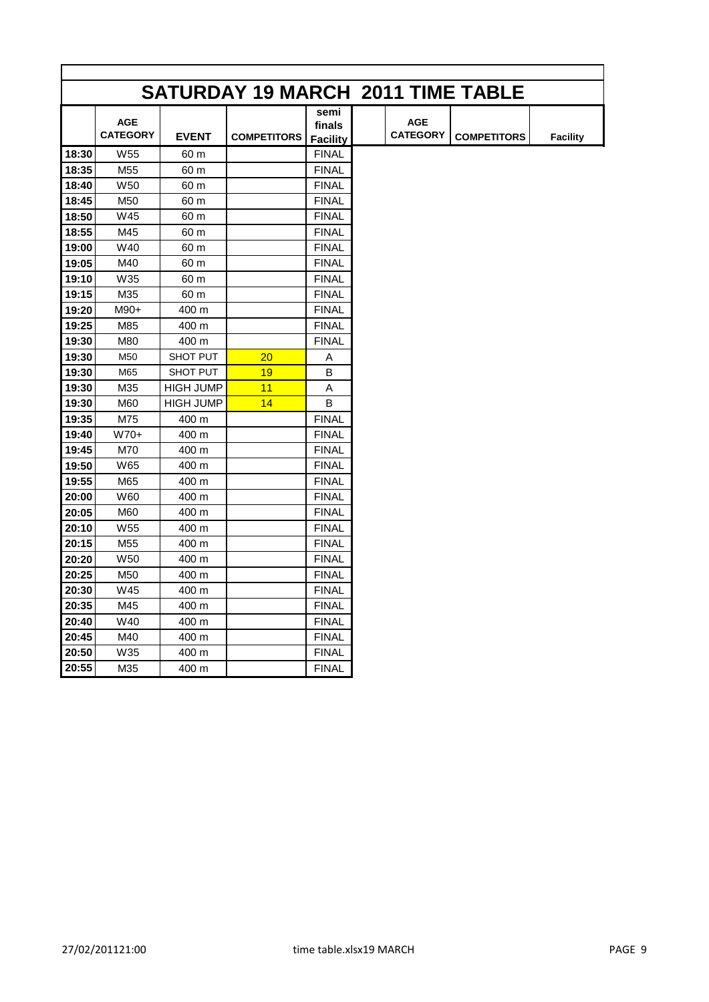|       |                               |                  |                    |                                   |                               | <b>SATURDAY 19 MARCH 2011 TIME TABLE</b> |                 |
|-------|-------------------------------|------------------|--------------------|-----------------------------------|-------------------------------|------------------------------------------|-----------------|
|       | <b>AGE</b><br><b>CATEGORY</b> | <b>EVENT</b>     | <b>COMPETITORS</b> | semi<br>finals<br><b>Facility</b> | <b>AGE</b><br><b>CATEGORY</b> | <b>COMPETITORS</b>                       | <b>Facility</b> |
| 18:30 | W <sub>55</sub>               | 60 m             |                    | <b>FINAL</b>                      |                               |                                          |                 |
| 18:35 | M <sub>55</sub>               | 60 m             |                    | <b>FINAL</b>                      |                               |                                          |                 |
| 18:40 | W50                           | 60 m             |                    | <b>FINAL</b>                      |                               |                                          |                 |
| 18:45 | M50                           | 60 m             |                    | <b>FINAL</b>                      |                               |                                          |                 |
| 18:50 | W45                           | 60 m             |                    | <b>FINAL</b>                      |                               |                                          |                 |
| 18:55 | M45                           | 60 m             |                    | <b>FINAL</b>                      |                               |                                          |                 |
| 19:00 | W40                           | 60 m             |                    | <b>FINAL</b>                      |                               |                                          |                 |
| 19:05 | M40                           | 60 m             |                    | <b>FINAL</b>                      |                               |                                          |                 |
| 19:10 | W35                           | 60 m             |                    | <b>FINAL</b>                      |                               |                                          |                 |
| 19:15 | M35                           | 60 m             |                    | <b>FINAL</b>                      |                               |                                          |                 |
| 19:20 | M90+                          | 400 m            |                    | <b>FINAL</b>                      |                               |                                          |                 |
| 19:25 | M85                           | 400 m            |                    | <b>FINAL</b>                      |                               |                                          |                 |
| 19:30 | M80                           | 400 m            |                    | <b>FINAL</b>                      |                               |                                          |                 |
| 19:30 | M50                           | SHOT PUT         | 20                 | Α                                 |                               |                                          |                 |
| 19:30 | M65                           | SHOT PUT         | 19                 | B                                 |                               |                                          |                 |
| 19:30 | M35                           | <b>HIGH JUMP</b> | 11                 | A                                 |                               |                                          |                 |
| 19:30 | M60                           | <b>HIGH JUMP</b> | 14                 | B                                 |                               |                                          |                 |
| 19:35 | M75                           | 400 m            |                    | <b>FINAL</b>                      |                               |                                          |                 |
| 19:40 | $W70+$                        | 400 m            |                    | <b>FINAL</b>                      |                               |                                          |                 |
| 19:45 | M70                           | 400 m            |                    | <b>FINAL</b>                      |                               |                                          |                 |
| 19:50 | W65                           | 400 m            |                    | <b>FINAL</b>                      |                               |                                          |                 |
| 19:55 | M65                           | 400 m            |                    | <b>FINAL</b>                      |                               |                                          |                 |
| 20:00 | W60                           | 400 m            |                    | <b>FINAL</b>                      |                               |                                          |                 |
| 20:05 | M60                           | 400 m            |                    | <b>FINAL</b>                      |                               |                                          |                 |
| 20:10 | W55                           | 400 m            |                    | <b>FINAL</b>                      |                               |                                          |                 |
| 20:15 | M <sub>55</sub>               | 400 m            |                    | <b>FINAL</b>                      |                               |                                          |                 |
| 20:20 | W <sub>50</sub>               | 400 m            |                    | <b>FINAL</b>                      |                               |                                          |                 |
| 20:25 | M50                           | 400 m            |                    | <b>FINAL</b>                      |                               |                                          |                 |
| 20:30 | W45                           | 400 m            |                    | <b>FINAL</b>                      |                               |                                          |                 |
| 20:35 | M45                           | 400 m            |                    | <b>FINAL</b>                      |                               |                                          |                 |
| 20:40 | W40                           | 400 m            |                    | <b>FINAL</b>                      |                               |                                          |                 |
| 20:45 | M40                           | 400 m            |                    | <b>FINAL</b>                      |                               |                                          |                 |
| 20:50 | W35                           | 400 m            |                    | <b>FINAL</b>                      |                               |                                          |                 |
| 20:55 | M35                           | 400 m            |                    | <b>FINAL</b>                      |                               |                                          |                 |